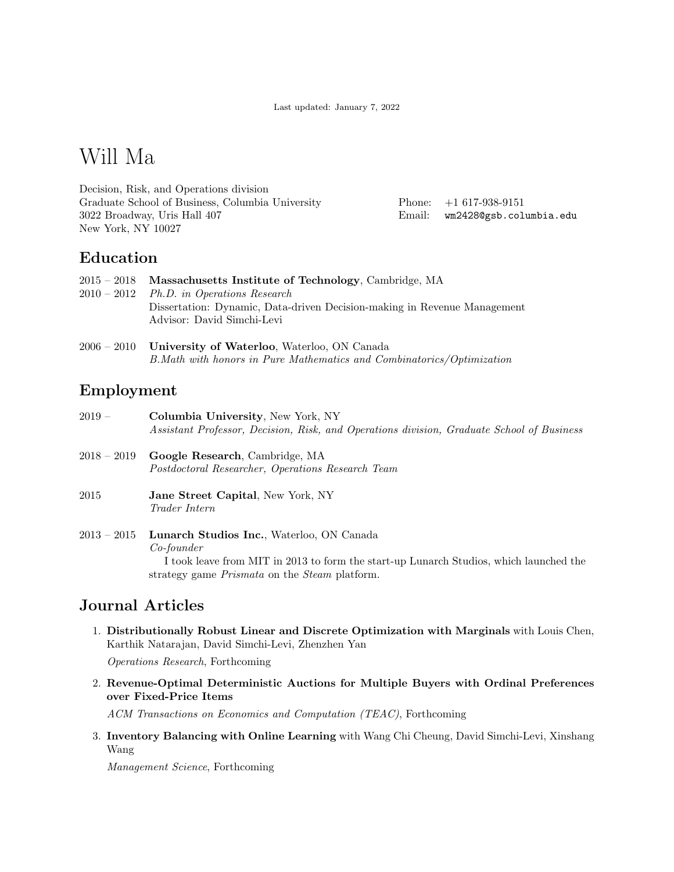Last updated: January 7, 2022

# Will Ma

Decision, Risk, and Operations division Graduate School of Business, Columbia University 3022 Broadway, Uris Hall 407 New York, NY 10027

Phone: +1 617-938-9151 Email: [wm2428@gsb.columbia.edu](mailto:willma@mit.edu)

### Education

|             | $2015 - 2018$ Massachusetts Institute of Technology, Cambridge, MA       |
|-------------|--------------------------------------------------------------------------|
| $2010-2012$ | <i>Ph.D.</i> in Operations Research                                      |
|             | Dissertation: Dynamic, Data-driven Decision-making in Revenue Management |
|             | Advisor: David Simchi-Levi                                               |
|             |                                                                          |

2006 – 2010 University of Waterloo, Waterloo, ON Canada B.Math with honors in Pure Mathematics and Combinatorics/Optimization

# Employment

2019 – Columbia University, New York, NY Assistant Professor, Decision, Risk, and Operations division, Graduate School of Business 2018 – 2019 Google Research, Cambridge, MA Postdoctoral Researcher, Operations Research Team 2015 Jane Street Capital, New York, NY Trader Intern 2013 – 2015 Lunarch Studios Inc., Waterloo, ON Canada Co-founder

> I took leave from MIT in 2013 to form the start-up Lunarch Studios, which launched the strategy game Prismata on the Steam platform.

# Journal Articles

1. Distributionally Robust Linear and Discrete Optimization with Marginals with Louis Chen, Karthik Natarajan, David Simchi-Levi, Zhenzhen Yan

Operations Research, Forthcoming

2. Revenue-Optimal Deterministic Auctions for Multiple Buyers with Ordinal Preferences over Fixed-Price Items

ACM Transactions on Economics and Computation (TEAC), Forthcoming

3. Inventory Balancing with Online Learning with Wang Chi Cheung, David Simchi-Levi, Xinshang Wang

Management Science, Forthcoming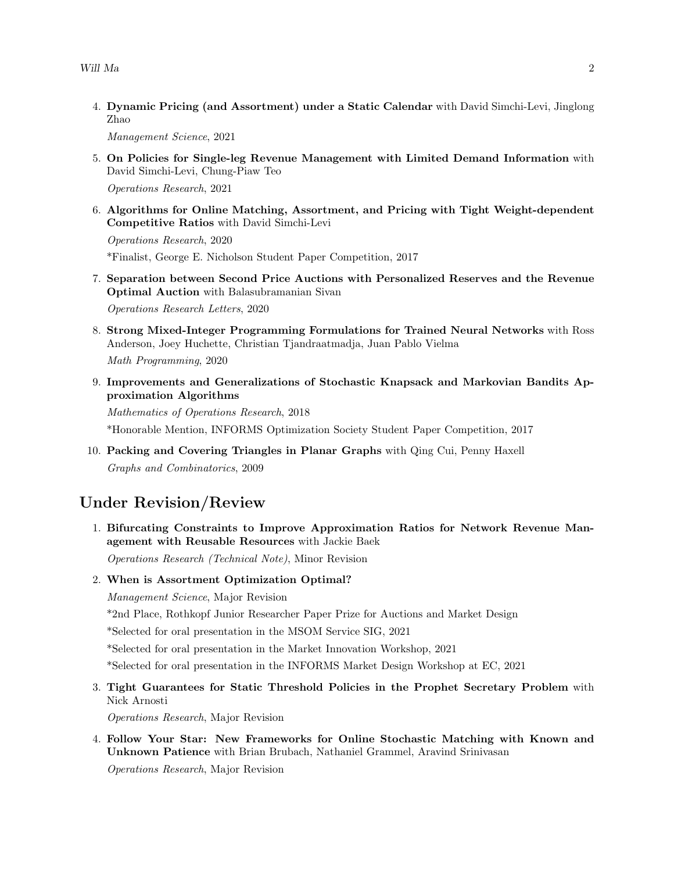4. Dynamic Pricing (and Assortment) under a Static Calendar with David Simchi-Levi, Jinglong Zhao

Management Science, 2021

5. On Policies for Single-leg Revenue Management with Limited Demand Information with David Simchi-Levi, Chung-Piaw Teo

Operations Research, 2021

6. Algorithms for Online Matching, Assortment, and Pricing with Tight Weight-dependent Competitive Ratios with David Simchi-Levi

Operations Research, 2020

\*Finalist, George E. Nicholson Student Paper Competition, 2017

7. Separation between Second Price Auctions with Personalized Reserves and the Revenue Optimal Auction with Balasubramanian Sivan

Operations Research Letters, 2020

8. Strong Mixed-Integer Programming Formulations for Trained Neural Networks with Ross Anderson, Joey Huchette, Christian Tjandraatmadja, Juan Pablo Vielma

Math Programming, 2020

9. Improvements and Generalizations of Stochastic Knapsack and Markovian Bandits Approximation Algorithms

Mathematics of Operations Research, 2018

\*Honorable Mention, INFORMS Optimization Society Student Paper Competition, 2017

10. Packing and Covering Triangles in Planar Graphs with Qing Cui, Penny Haxell Graphs and Combinatorics, 2009

### Under Revision/Review

1. Bifurcating Constraints to Improve Approximation Ratios for Network Revenue Management with Reusable Resources with Jackie Baek

Operations Research (Technical Note), Minor Revision

2. When is Assortment Optimization Optimal?

Management Science, Major Revision

\*2nd Place, Rothkopf Junior Researcher Paper Prize for Auctions and Market Design

\*Selected for oral presentation in the MSOM Service SIG, 2021

\*Selected for oral presentation in the Market Innovation Workshop, 2021

\*Selected for oral presentation in the INFORMS Market Design Workshop at EC, 2021

3. Tight Guarantees for Static Threshold Policies in the Prophet Secretary Problem with Nick Arnosti

Operations Research, Major Revision

4. Follow Your Star: New Frameworks for Online Stochastic Matching with Known and Unknown Patience with Brian Brubach, Nathaniel Grammel, Aravind Srinivasan

Operations Research, Major Revision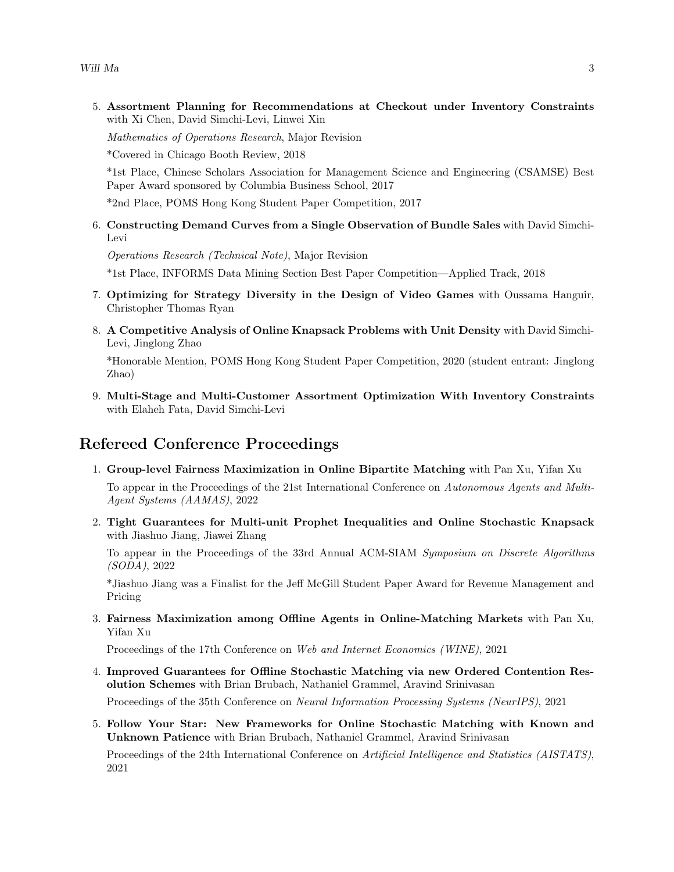5. Assortment Planning for Recommendations at Checkout under Inventory Constraints with Xi Chen, David Simchi-Levi, Linwei Xin

Mathematics of Operations Research, Major Revision

\*Covered in Chicago Booth Review, 2018

\*1st Place, Chinese Scholars Association for Management Science and Engineering (CSAMSE) Best Paper Award sponsored by Columbia Business School, 2017

\*2nd Place, POMS Hong Kong Student Paper Competition, 2017

6. Constructing Demand Curves from a Single Observation of Bundle Sales with David Simchi-Levi

Operations Research (Technical Note), Major Revision

\*1st Place, INFORMS Data Mining Section Best Paper Competition—Applied Track, 2018

- 7. Optimizing for Strategy Diversity in the Design of Video Games with Oussama Hanguir, Christopher Thomas Ryan
- 8. A Competitive Analysis of Online Knapsack Problems with Unit Density with David Simchi-Levi, Jinglong Zhao

\*Honorable Mention, POMS Hong Kong Student Paper Competition, 2020 (student entrant: Jinglong Zhao)

9. Multi-Stage and Multi-Customer Assortment Optimization With Inventory Constraints with Elaheh Fata, David Simchi-Levi

### Refereed Conference Proceedings

1. Group-level Fairness Maximization in Online Bipartite Matching with Pan Xu, Yifan Xu

To appear in the Proceedings of the 21st International Conference on Autonomous Agents and Multi-Agent Systems (AAMAS), 2022

2. Tight Guarantees for Multi-unit Prophet Inequalities and Online Stochastic Knapsack with Jiashuo Jiang, Jiawei Zhang

To appear in the Proceedings of the 33rd Annual ACM-SIAM Symposium on Discrete Algorithms (SODA), 2022

\*Jiashuo Jiang was a Finalist for the Jeff McGill Student Paper Award for Revenue Management and Pricing

3. Fairness Maximization among Offline Agents in Online-Matching Markets with Pan Xu, Yifan Xu

Proceedings of the 17th Conference on Web and Internet Economics (WINE), 2021

4. Improved Guarantees for Offline Stochastic Matching via new Ordered Contention Resolution Schemes with Brian Brubach, Nathaniel Grammel, Aravind Srinivasan

Proceedings of the 35th Conference on Neural Information Processing Systems (NeurIPS), 2021

5. Follow Your Star: New Frameworks for Online Stochastic Matching with Known and Unknown Patience with Brian Brubach, Nathaniel Grammel, Aravind Srinivasan

Proceedings of the 24th International Conference on Artificial Intelligence and Statistics (AISTATS), 2021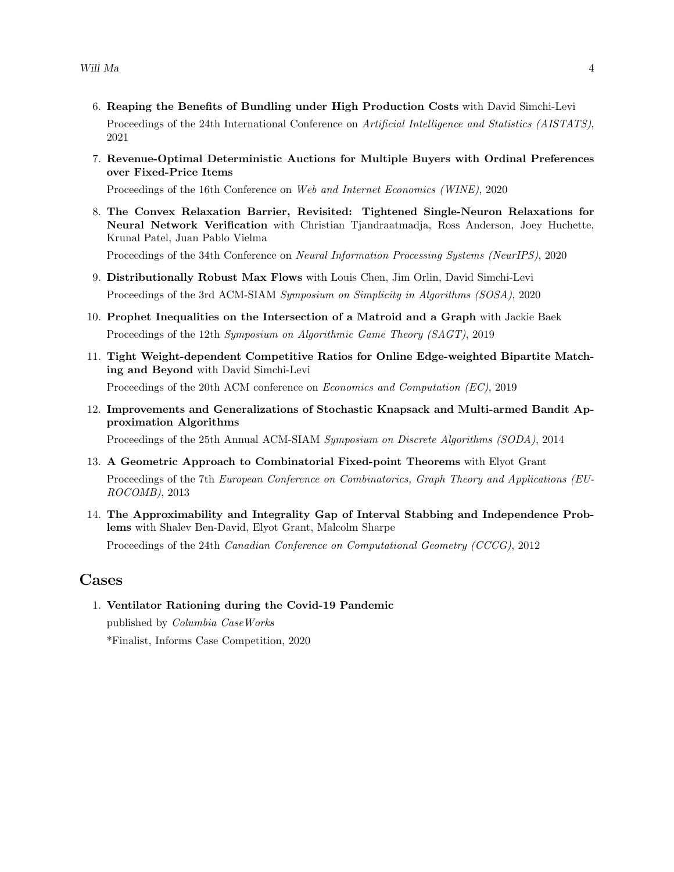- 6. Reaping the Benefits of Bundling under High Production Costs with David Simchi-Levi Proceedings of the 24th International Conference on Artificial Intelligence and Statistics (AISTATS), 2021
- 7. Revenue-Optimal Deterministic Auctions for Multiple Buyers with Ordinal Preferences over Fixed-Price Items

Proceedings of the 16th Conference on Web and Internet Economics (WINE), 2020

8. The Convex Relaxation Barrier, Revisited: Tightened Single-Neuron Relaxations for Neural Network Verification with Christian Tjandraatmadja, Ross Anderson, Joey Huchette, Krunal Patel, Juan Pablo Vielma

Proceedings of the 34th Conference on Neural Information Processing Systems (NeurIPS), 2020

- 9. Distributionally Robust Max Flows with Louis Chen, Jim Orlin, David Simchi-Levi Proceedings of the 3rd ACM-SIAM Symposium on Simplicity in Algorithms (SOSA), 2020
- 10. Prophet Inequalities on the Intersection of a Matroid and a Graph with Jackie Baek Proceedings of the 12th Symposium on Algorithmic Game Theory (SAGT), 2019
- 11. Tight Weight-dependent Competitive Ratios for Online Edge-weighted Bipartite Matching and Beyond with David Simchi-Levi Proceedings of the 20th ACM conference on Economics and Computation (EC), 2019
- 12. Improvements and Generalizations of Stochastic Knapsack and Multi-armed Bandit Approximation Algorithms

Proceedings of the 25th Annual ACM-SIAM Symposium on Discrete Algorithms (SODA), 2014

- 13. A Geometric Approach to Combinatorial Fixed-point Theorems with Elyot Grant Proceedings of the 7th European Conference on Combinatorics, Graph Theory and Applications (EU-ROCOMB), 2013
- 14. The Approximability and Integrality Gap of Interval Stabbing and Independence Problems with Shalev Ben-David, Elyot Grant, Malcolm Sharpe

Proceedings of the 24th Canadian Conference on Computational Geometry (CCCG), 2012

#### Cases

1. Ventilator Rationing during the Covid-19 Pandemic published by Columbia CaseWorks

\*Finalist, Informs Case Competition, 2020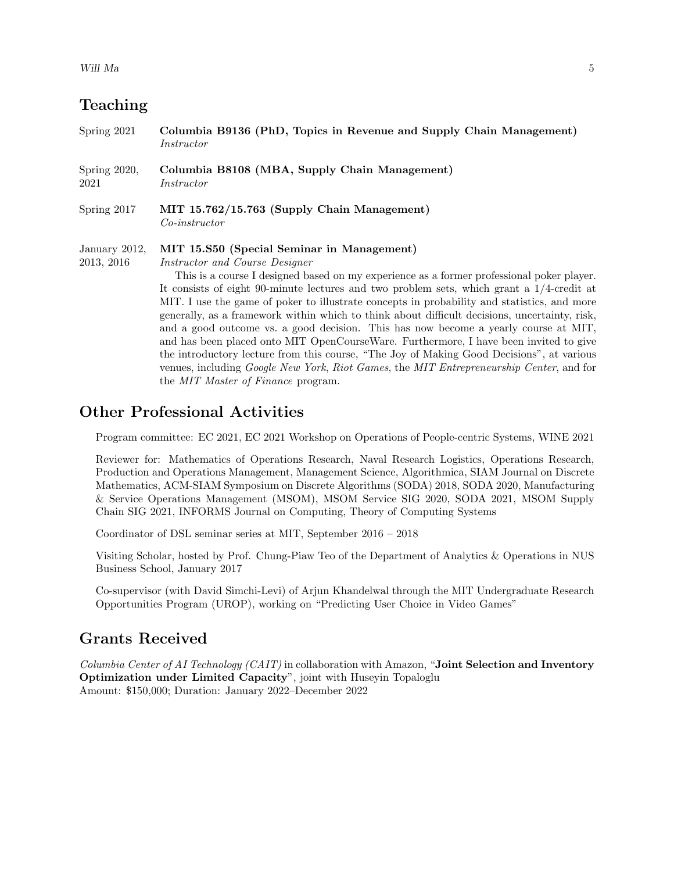# Teaching

| Spring 2021                 | Columbia B9136 (PhD, Topics in Revenue and Supply Chain Management)<br>Instructor                                                                                                                                                                                                                                                                                                                                                                                                                                                                                                                                                                                                                                                                                                                                                                                                              |
|-----------------------------|------------------------------------------------------------------------------------------------------------------------------------------------------------------------------------------------------------------------------------------------------------------------------------------------------------------------------------------------------------------------------------------------------------------------------------------------------------------------------------------------------------------------------------------------------------------------------------------------------------------------------------------------------------------------------------------------------------------------------------------------------------------------------------------------------------------------------------------------------------------------------------------------|
| Spring 2020,<br>2021        | Columbia B8108 (MBA, Supply Chain Management)<br>Instructor                                                                                                                                                                                                                                                                                                                                                                                                                                                                                                                                                                                                                                                                                                                                                                                                                                    |
| Spring 2017                 | MIT 15.762/15.763 (Supply Chain Management)<br>$Co\text{-}instructor$                                                                                                                                                                                                                                                                                                                                                                                                                                                                                                                                                                                                                                                                                                                                                                                                                          |
| January 2012,<br>2013, 2016 | MIT 15.S50 (Special Seminar in Management)<br><i>Instructor and Course Designer</i><br>This is a course I designed based on my experience as a former professional poker player.<br>It consists of eight 90-minute lectures and two problem sets, which grant a $1/4$ -credit at<br>MIT. I use the game of poker to illustrate concepts in probability and statistics, and more<br>generally, as a framework within which to think about difficult decisions, uncertainty, risk,<br>and a good outcome vs. a good decision. This has now become a yearly course at MIT,<br>and has been placed onto MIT OpenCourseWare. Furthermore, I have been invited to give<br>the introductory lecture from this course, "The Joy of Making Good Decisions", at various<br>venues, including Google New York, Riot Games, the MIT Entrepreneurship Center, and for<br>the MIT Master of Finance program. |

### Other Professional Activities

Program committee: EC 2021, EC 2021 Workshop on Operations of People-centric Systems, WINE 2021

Reviewer for: Mathematics of Operations Research, Naval Research Logistics, Operations Research, Production and Operations Management, Management Science, Algorithmica, SIAM Journal on Discrete Mathematics, ACM-SIAM Symposium on Discrete Algorithms (SODA) 2018, SODA 2020, Manufacturing & Service Operations Management (MSOM), MSOM Service SIG 2020, SODA 2021, MSOM Supply Chain SIG 2021, INFORMS Journal on Computing, Theory of Computing Systems

Coordinator of DSL seminar series at MIT, September 2016 – 2018

Visiting Scholar, hosted by Prof. Chung-Piaw Teo of the Department of Analytics & Operations in NUS Business School, January 2017

Co-supervisor (with David Simchi-Levi) of Arjun Khandelwal through the MIT Undergraduate Research Opportunities Program (UROP), working on "Predicting User Choice in Video Games"

#### Grants Received

Columbia Center of AI Technology (CAIT) in collaboration with Amazon, "Joint Selection and Inventory Optimization under Limited Capacity", joint with Huseyin Topaloglu Amount: \$150,000; Duration: January 2022–December 2022